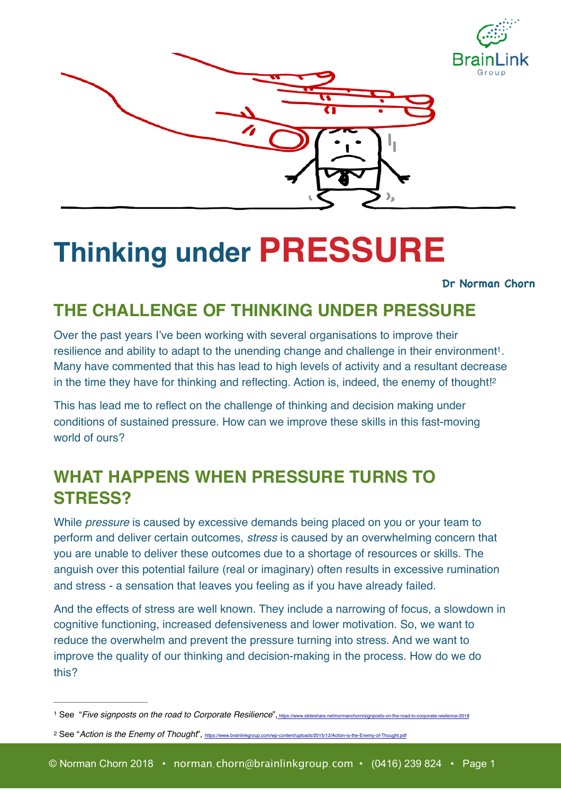



# **Thinking under PRESSURE**

#### <span id="page-0-3"></span><span id="page-0-2"></span>**Dr Norman Chorn**

#### **THE CHALLENGE OF THINKING UNDER PRESSURE**

Over the past years I've been working with several organisations to improve their resilience and ability to adapt to the unending change and challenge in their environment<sup>[1](#page-0-0)</sup>. Many have commented that this has lead to high levels of activity and a resultant decrease in the time they have for thinking and reflecting. Action is, indeed, the enemy of thought![2](#page-0-1)

This has lead me to reflect on the challenge of thinking and decision making under conditions of sustained pressure. How can we improve these skills in this fast-moving world of ours?

## **WHAT HAPPENS WHEN PRESSURE TURNS TO STRESS?**

While *pressure* is caused by excessive demands being placed on you or your team to perform and deliver certain outcomes, *stress* is caused by an overwhelming concern that you are unable to deliver these outcomes due to a shortage of resources or skills. The anguish over this potential failure (real or imaginary) often results in excessive rumination and stress - a sensation that leaves you feeling as if you have already failed.

And the effects of stress are well known. They include a narrowing of focus, a slowdown in cognitive functioning, increased defensiveness and lower motivation. So, we want to reduce the overwhelm and prevent the pressure turning into stress. And we want to improve the quality of our thinking and decision-making in the process. How do we do this?

<span id="page-0-1"></span><sup>2</sup> See "Action is the Enemy of Thought",<https://www.brainlinkgroup.com/wp-content/uploads/2015/12/Action-is-the-Enemy-of-Thought.pdf>

<span id="page-0-0"></span><sup>&</sup>lt;sup>1</sup> See "Five signposts on the road to Corporate Resilience"[, https://www.slideshare.net/normanchorn/signposts-on-the-road-to-corporate-resilence-2018](http://www.apple.com)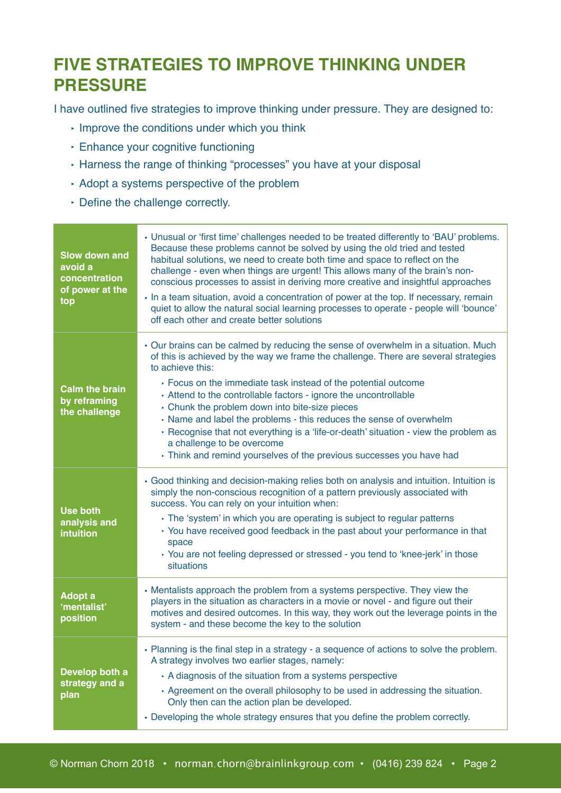## **FIVE STRATEGIES TO IMPROVE THINKING UNDER PRESSURE**

I have outlined five strategies to improve thinking under pressure. They are designed to:

- ‣ Improve the conditions under which you think
- ‣ Enhance your cognitive functioning
- ‣ Harness the range of thinking "processes" you have at your disposal
- ‣ Adopt a systems perspective of the problem
- ‣ Define the challenge correctly.

| <b>Slow down and</b><br>avoid a<br>concentration<br>of power at the<br>top | • Unusual or 'first time' challenges needed to be treated differently to 'BAU' problems.<br>Because these problems cannot be solved by using the old tried and tested<br>habitual solutions, we need to create both time and space to reflect on the<br>challenge - even when things are urgent! This allows many of the brain's non-<br>conscious processes to assist in deriving more creative and insightful approaches<br>• In a team situation, avoid a concentration of power at the top. If necessary, remain<br>quiet to allow the natural social learning processes to operate - people will 'bounce'<br>off each other and create better solutions |
|----------------------------------------------------------------------------|--------------------------------------------------------------------------------------------------------------------------------------------------------------------------------------------------------------------------------------------------------------------------------------------------------------------------------------------------------------------------------------------------------------------------------------------------------------------------------------------------------------------------------------------------------------------------------------------------------------------------------------------------------------|
| <b>Calm the brain</b><br>by reframing<br>the challenge                     | • Our brains can be calmed by reducing the sense of overwhelm in a situation. Much<br>of this is achieved by the way we frame the challenge. There are several strategies<br>to achieve this:<br>▸ Focus on the immediate task instead of the potential outcome<br>Attend to the controllable factors - ignore the uncontrollable<br>> Chunk the problem down into bite-size pieces<br>Name and label the problems - this reduces the sense of overwhelm<br>▶ Recognise that not everything is a 'life-or-death' situation - view the problem as<br>a challenge to be overcome<br>Think and remind yourselves of the previous successes you have had         |
| <b>Use both</b><br>analysis and<br>intuition                               | • Good thinking and decision-making relies both on analysis and intuition. Intuition is<br>simply the non-conscious recognition of a pattern previously associated with<br>success. You can rely on your intuition when:<br>The 'system' in which you are operating is subject to regular patterns<br>▸ You have received good feedback in the past about your performance in that<br>space<br>▸ You are not feeling depressed or stressed - you tend to 'knee-jerk' in those<br>situations                                                                                                                                                                  |
| Adopt a<br>'mentalist'<br>position                                         | • Mentalists approach the problem from a systems perspective. They view the<br>players in the situation as characters in a movie or novel - and figure out their<br>motives and desired outcomes. In this way, they work out the leverage points in the<br>system - and these become the key to the solution                                                                                                                                                                                                                                                                                                                                                 |
| Develop both a<br>strategy and a<br>plan                                   | . Planning is the final step in a strategy - a sequence of actions to solve the problem.<br>A strategy involves two earlier stages, namely:<br>A diagnosis of the situation from a systems perspective<br>Agreement on the overall philosophy to be used in addressing the situation.<br>Only then can the action plan be developed.<br>• Developing the whole strategy ensures that you define the problem correctly.                                                                                                                                                                                                                                       |